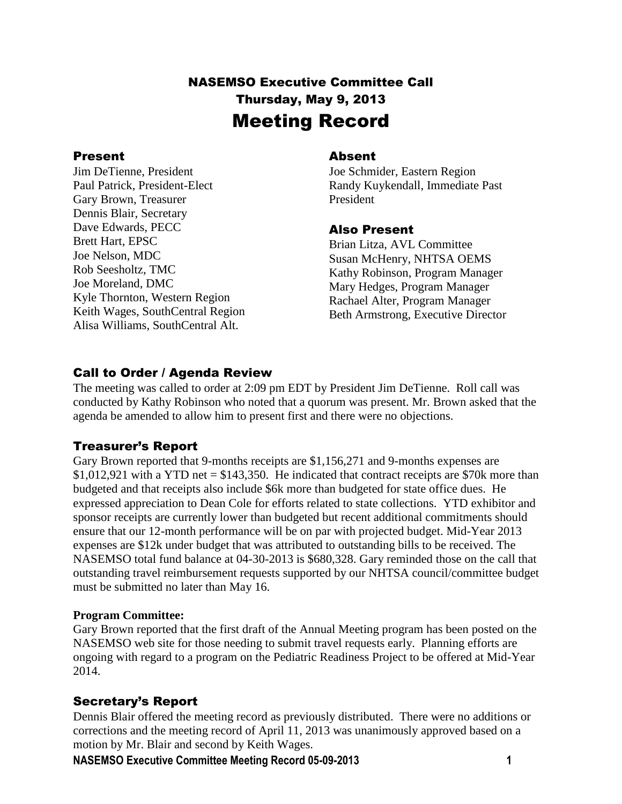# NASEMSO Executive Committee Call Thursday, May 9, 2013 Meeting Record

#### Present

Jim DeTienne, President Paul Patrick, President-Elect Gary Brown, Treasurer Dennis Blair, Secretary Dave Edwards, PECC Brett Hart, EPSC Joe Nelson, MDC Rob Seesholtz, TMC Joe Moreland, DMC Kyle Thornton, Western Region Keith Wages, SouthCentral Region Alisa Williams, SouthCentral Alt.

#### Absent

Joe Schmider, Eastern Region Randy Kuykendall, Immediate Past President

#### Also Present

Brian Litza, AVL Committee Susan McHenry, NHTSA OEMS Kathy Robinson, Program Manager Mary Hedges, Program Manager Rachael Alter, Program Manager Beth Armstrong, Executive Director

# Call to Order / Agenda Review

The meeting was called to order at 2:09 pm EDT by President Jim DeTienne. Roll call was conducted by Kathy Robinson who noted that a quorum was present. Mr. Brown asked that the agenda be amended to allow him to present first and there were no objections.

# Treasurer's Report

Gary Brown reported that 9-months receipts are \$1,156,271 and 9-months expenses are \$1,012,921 with a YTD net  $=$  \$143,350. He indicated that contract receipts are \$70k more than budgeted and that receipts also include \$6k more than budgeted for state office dues. He expressed appreciation to Dean Cole for efforts related to state collections. YTD exhibitor and sponsor receipts are currently lower than budgeted but recent additional commitments should ensure that our 12-month performance will be on par with projected budget. Mid-Year 2013 expenses are \$12k under budget that was attributed to outstanding bills to be received. The NASEMSO total fund balance at 04-30-2013 is \$680,328. Gary reminded those on the call that outstanding travel reimbursement requests supported by our NHTSA council/committee budget must be submitted no later than May 16.

#### **Program Committee:**

Gary Brown reported that the first draft of the Annual Meeting program has been posted on the NASEMSO web site for those needing to submit travel requests early. Planning efforts are ongoing with regard to a program on the Pediatric Readiness Project to be offered at Mid-Year 2014.

### Secretary's Report

Dennis Blair offered the meeting record as previously distributed. There were no additions or corrections and the meeting record of April 11, 2013 was unanimously approved based on a motion by Mr. Blair and second by Keith Wages.

**NASEMSO Executive Committee Meeting Record 05-09-2013 1**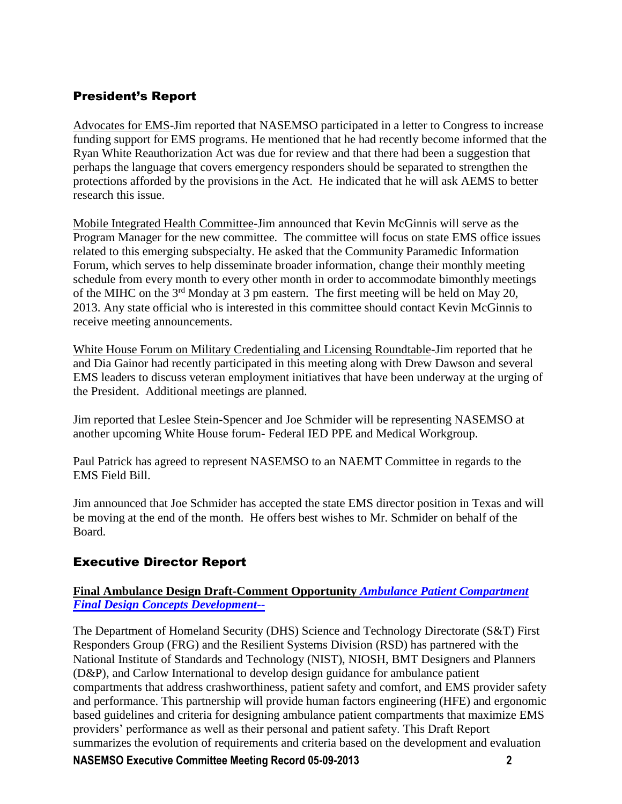# President's Report

Advocates for EMS-Jim reported that NASEMSO participated in a letter to Congress to increase funding support for EMS programs. He mentioned that he had recently become informed that the Ryan White Reauthorization Act was due for review and that there had been a suggestion that perhaps the language that covers emergency responders should be separated to strengthen the protections afforded by the provisions in the Act. He indicated that he will ask AEMS to better research this issue.

Mobile Integrated Health Committee-Jim announced that Kevin McGinnis will serve as the Program Manager for the new committee. The committee will focus on state EMS office issues related to this emerging subspecialty. He asked that the Community Paramedic Information Forum, which serves to help disseminate broader information, change their monthly meeting schedule from every month to every other month in order to accommodate bimonthly meetings of the MIHC on the 3<sup>rd</sup> Monday at 3 pm eastern. The first meeting will be held on May 20, 2013. Any state official who is interested in this committee should contact Kevin McGinnis to receive meeting announcements.

White House Forum on Military Credentialing and Licensing Roundtable-Jim reported that he and Dia Gainor had recently participated in this meeting along with Drew Dawson and several EMS leaders to discuss veteran employment initiatives that have been underway at the urging of the President. Additional meetings are planned.

Jim reported that Leslee Stein-Spencer and Joe Schmider will be representing NASEMSO at another upcoming White House forum- Federal IED PPE and Medical Workgroup.

Paul Patrick has agreed to represent NASEMSO to an NAEMT Committee in regards to the EMS Field Bill.

Jim announced that Joe Schmider has accepted the state EMS director position in Texas and will be moving at the end of the month. He offers best wishes to Mr. Schmider on behalf of the Board.

# Executive Director Report

#### **Final Ambulance Design Draft-Comment Opportunity** *[Ambulance Patient Compartment](https://www.nasemso.org/Members/Board/documents/Final_Design_Concepts_Development_Report_DRAFT.pdf)  [Final Design Concepts Development](https://www.nasemso.org/Members/Board/documents/Final_Design_Concepts_Development_Report_DRAFT.pdf)*--

The Department of Homeland Security (DHS) Science and Technology Directorate (S&T) First Responders Group (FRG) and the Resilient Systems Division (RSD) has partnered with the National Institute of Standards and Technology (NIST), NIOSH, BMT Designers and Planners (D&P), and Carlow International to develop design guidance for ambulance patient compartments that address crashworthiness, patient safety and comfort, and EMS provider safety and performance. This partnership will provide human factors engineering (HFE) and ergonomic based guidelines and criteria for designing ambulance patient compartments that maximize EMS providers' performance as well as their personal and patient safety. This Draft Report summarizes the evolution of requirements and criteria based on the development and evaluation

**NASEMSO Executive Committee Meeting Record 05-09-2013 2**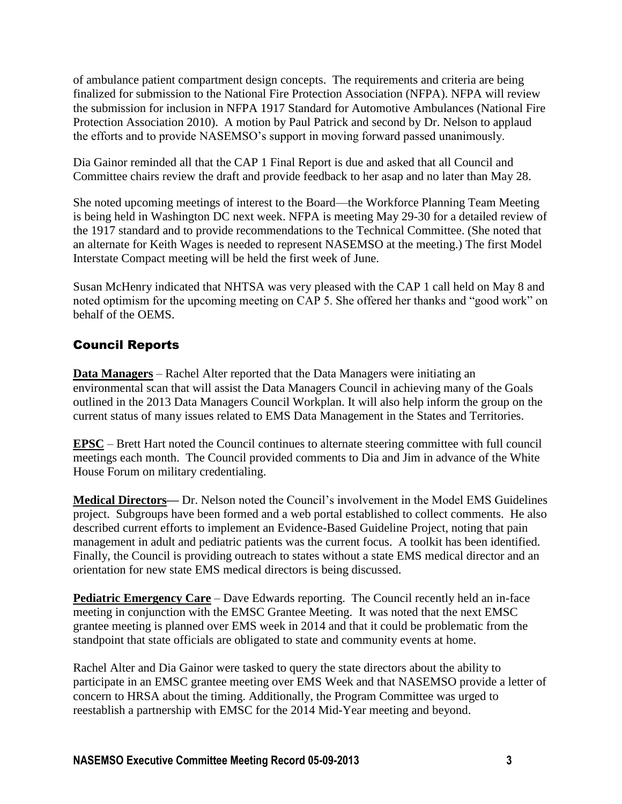of ambulance patient compartment design concepts. The requirements and criteria are being finalized for submission to the National Fire Protection Association (NFPA). NFPA will review the submission for inclusion in NFPA 1917 Standard for Automotive Ambulances (National Fire Protection Association 2010). A motion by Paul Patrick and second by Dr. Nelson to applaud the efforts and to provide NASEMSO's support in moving forward passed unanimously.

Dia Gainor reminded all that the CAP 1 Final Report is due and asked that all Council and Committee chairs review the draft and provide feedback to her asap and no later than May 28.

She noted upcoming meetings of interest to the Board—the Workforce Planning Team Meeting is being held in Washington DC next week. NFPA is meeting May 29-30 for a detailed review of the 1917 standard and to provide recommendations to the Technical Committee. (She noted that an alternate for Keith Wages is needed to represent NASEMSO at the meeting.) The first Model Interstate Compact meeting will be held the first week of June.

Susan McHenry indicated that NHTSA was very pleased with the CAP 1 call held on May 8 and noted optimism for the upcoming meeting on CAP 5. She offered her thanks and "good work" on behalf of the OEMS.

## Council Reports

**Data Managers** – Rachel Alter reported that the Data Managers were initiating an environmental scan that will assist the Data Managers Council in achieving many of the Goals outlined in the 2013 Data Managers Council Workplan. It will also help inform the group on the current status of many issues related to EMS Data Management in the States and Territories.

**EPSC** – Brett Hart noted the Council continues to alternate steering committee with full council meetings each month. The Council provided comments to Dia and Jim in advance of the White House Forum on military credentialing.

**Medical Directors—** Dr. Nelson noted the Council's involvement in the Model EMS Guidelines project. Subgroups have been formed and a web portal established to collect comments. He also described current efforts to implement an Evidence-Based Guideline Project, noting that pain management in adult and pediatric patients was the current focus. A toolkit has been identified. Finally, the Council is providing outreach to states without a state EMS medical director and an orientation for new state EMS medical directors is being discussed.

**Pediatric Emergency Care** – Dave Edwards reporting. The Council recently held an in-face meeting in conjunction with the EMSC Grantee Meeting. It was noted that the next EMSC grantee meeting is planned over EMS week in 2014 and that it could be problematic from the standpoint that state officials are obligated to state and community events at home.

Rachel Alter and Dia Gainor were tasked to query the state directors about the ability to participate in an EMSC grantee meeting over EMS Week and that NASEMSO provide a letter of concern to HRSA about the timing. Additionally, the Program Committee was urged to reestablish a partnership with EMSC for the 2014 Mid-Year meeting and beyond.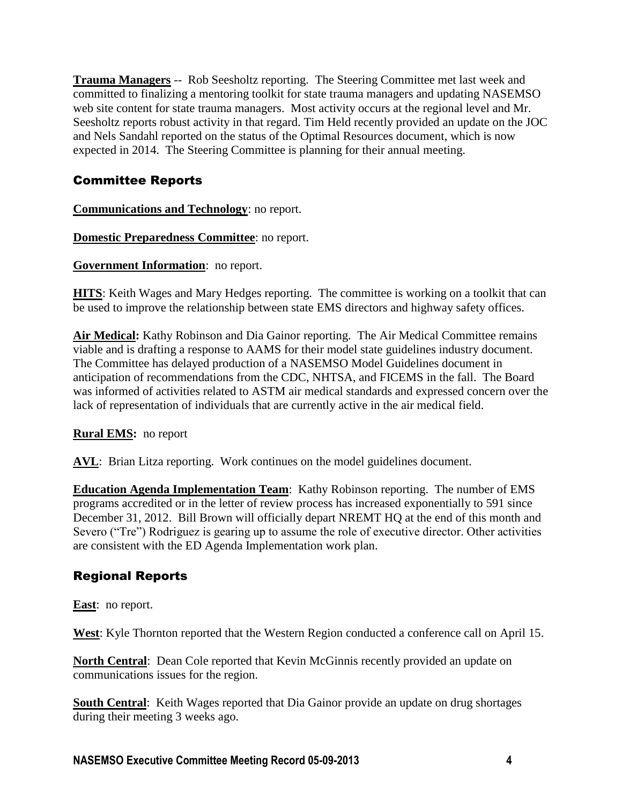**Trauma Managers** -- Rob Seesholtz reporting. The Steering Committee met last week and committed to finalizing a mentoring toolkit for state trauma managers and updating NASEMSO web site content for state trauma managers. Most activity occurs at the regional level and Mr. Seesholtz reports robust activity in that regard. Tim Held recently provided an update on the JOC and Nels Sandahl reported on the status of the Optimal Resources document, which is now expected in 2014. The Steering Committee is planning for their annual meeting.

## Committee Reports

**Communications and Technology**: no report.

**Domestic Preparedness Committee**: no report.

**Government Information**: no report.

**HITS**: Keith Wages and Mary Hedges reporting. The committee is working on a toolkit that can be used to improve the relationship between state EMS directors and highway safety offices.

**Air Medical:** Kathy Robinson and Dia Gainor reporting.The Air Medical Committee remains viable and is drafting a response to AAMS for their model state guidelines industry document. The Committee has delayed production of a NASEMSO Model Guidelines document in anticipation of recommendations from the CDC, NHTSA, and FICEMS in the fall. The Board was informed of activities related to ASTM air medical standards and expressed concern over the lack of representation of individuals that are currently active in the air medical field.

### **Rural EMS:** no report

**AVL**: Brian Litza reporting. Work continues on the model guidelines document.

**Education Agenda Implementation Team**: Kathy Robinson reporting. The number of EMS programs accredited or in the letter of review process has increased exponentially to 591 since December 31, 2012. Bill Brown will officially depart NREMT HQ at the end of this month and Severo ("Tre") Rodriguez is gearing up to assume the role of executive director. Other activities are consistent with the ED Agenda Implementation work plan.

# Regional Reports

**East**: no report.

**West**: Kyle Thornton reported that the Western Region conducted a conference call on April 15.

**North Central**: Dean Cole reported that Kevin McGinnis recently provided an update on communications issues for the region.

**South Central**: Keith Wages reported that Dia Gainor provide an update on drug shortages during their meeting 3 weeks ago.